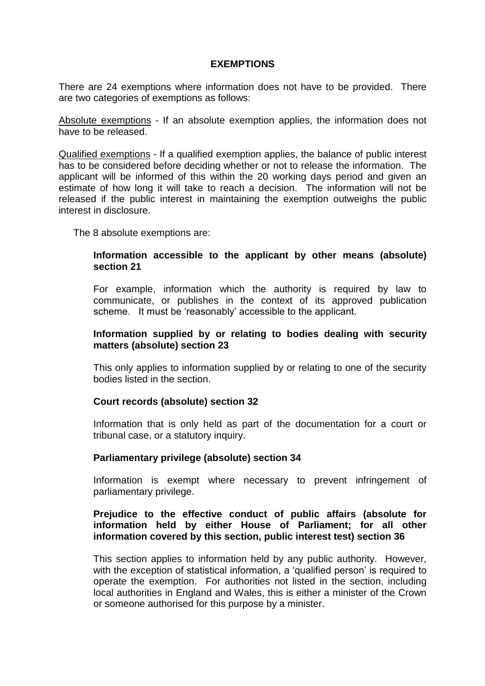#### **EXEMPTIONS**

There are 24 exemptions where information does not have to be provided. There are two categories of exemptions as follows:

Absolute exemptions - If an absolute exemption applies, the information does not have to be released.

Qualified exemptions - If a qualified exemption applies, the balance of public interest has to be considered before deciding whether or not to release the information. The applicant will be informed of this within the 20 working days period and given an estimate of how long it will take to reach a decision. The information will not be released if the public interest in maintaining the exemption outweighs the public interest in disclosure.

The 8 absolute exemptions are:

#### **Information accessible to the applicant by other means (absolute) section 21**

For example, information which the authority is required by law to communicate, or publishes in the context of its approved publication scheme. It must be 'reasonably' accessible to the applicant.

#### **Information supplied by or relating to bodies dealing with security matters (absolute) section 23**

This only applies to information supplied by or relating to one of the security bodies listed in the section.

### **Court records (absolute) section 32**

Information that is only held as part of the documentation for a court or tribunal case, or a statutory inquiry.

### **Parliamentary privilege (absolute) section 34**

Information is exempt where necessary to prevent infringement of parliamentary privilege.

### **Prejudice to the effective conduct of public affairs (absolute for information held by either House of Parliament; for all other information covered by this section, public interest test) section 36**

This section applies to information held by any public authority. However, with the exception of statistical information, a 'qualified person' is required to operate the exemption. For authorities not listed in the section, including local authorities in England and Wales, this is either a minister of the Crown or someone authorised for this purpose by a minister.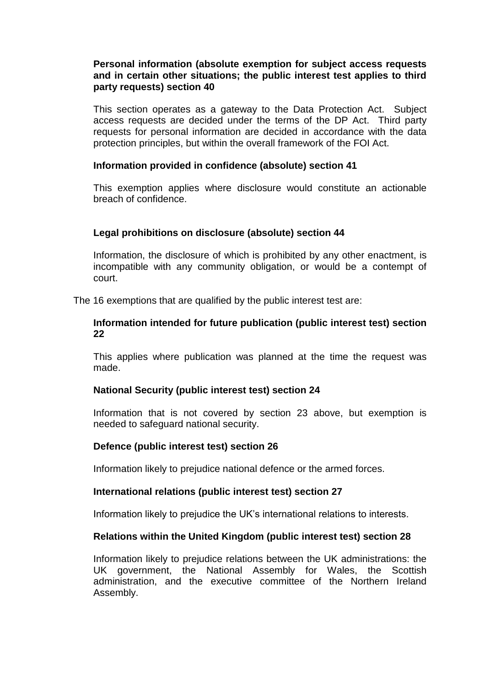### **Personal information (absolute exemption for subject access requests and in certain other situations; the public interest test applies to third party requests) section 40**

This section operates as a gateway to the Data Protection Act. Subject access requests are decided under the terms of the DP Act. Third party requests for personal information are decided in accordance with the data protection principles, but within the overall framework of the FOI Act.

### **Information provided in confidence (absolute) section 41**

This exemption applies where disclosure would constitute an actionable breach of confidence.

## **Legal prohibitions on disclosure (absolute) section 44**

Information, the disclosure of which is prohibited by any other enactment, is incompatible with any community obligation, or would be a contempt of court.

The 16 exemptions that are qualified by the public interest test are:

#### **Information intended for future publication (public interest test) section 22**

This applies where publication was planned at the time the request was made.

### **National Security (public interest test) section 24**

Information that is not covered by section 23 above, but exemption is needed to safeguard national security.

# **Defence (public interest test) section 26**

Information likely to prejudice national defence or the armed forces.

### **International relations (public interest test) section 27**

Information likely to prejudice the UK's international relations to interests.

### **Relations within the United Kingdom (public interest test) section 28**

Information likely to prejudice relations between the UK administrations: the UK government, the National Assembly for Wales, the Scottish administration, and the executive committee of the Northern Ireland Assembly.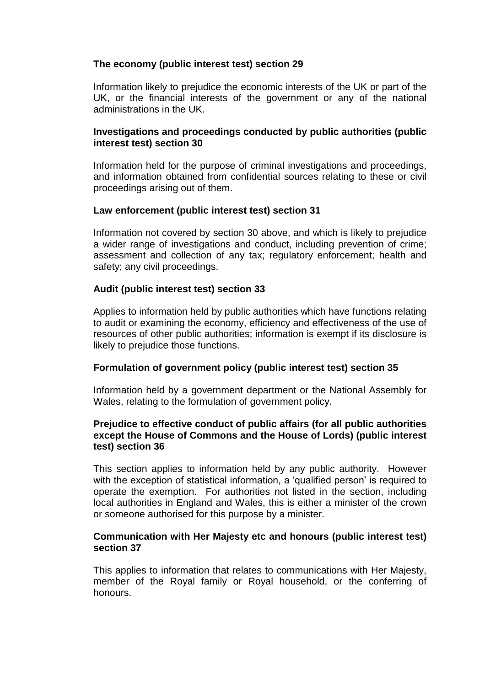## **The economy (public interest test) section 29**

Information likely to prejudice the economic interests of the UK or part of the UK, or the financial interests of the government or any of the national administrations in the UK.

### **Investigations and proceedings conducted by public authorities (public interest test) section 30**

Information held for the purpose of criminal investigations and proceedings, and information obtained from confidential sources relating to these or civil proceedings arising out of them.

## **Law enforcement (public interest test) section 31**

Information not covered by section 30 above, and which is likely to prejudice a wider range of investigations and conduct, including prevention of crime; assessment and collection of any tax; regulatory enforcement; health and safety; any civil proceedings.

## **Audit (public interest test) section 33**

Applies to information held by public authorities which have functions relating to audit or examining the economy, efficiency and effectiveness of the use of resources of other public authorities; information is exempt if its disclosure is likely to prejudice those functions.

### **Formulation of government policy (public interest test) section 35**

Information held by a government department or the National Assembly for Wales, relating to the formulation of government policy.

### **Prejudice to effective conduct of public affairs (for all public authorities except the House of Commons and the House of Lords) (public interest test) section 36**

This section applies to information held by any public authority. However with the exception of statistical information, a 'qualified person' is required to operate the exemption. For authorities not listed in the section, including local authorities in England and Wales, this is either a minister of the crown or someone authorised for this purpose by a minister.

### **Communication with Her Majesty etc and honours (public interest test) section 37**

This applies to information that relates to communications with Her Majesty, member of the Royal family or Royal household, or the conferring of honours.